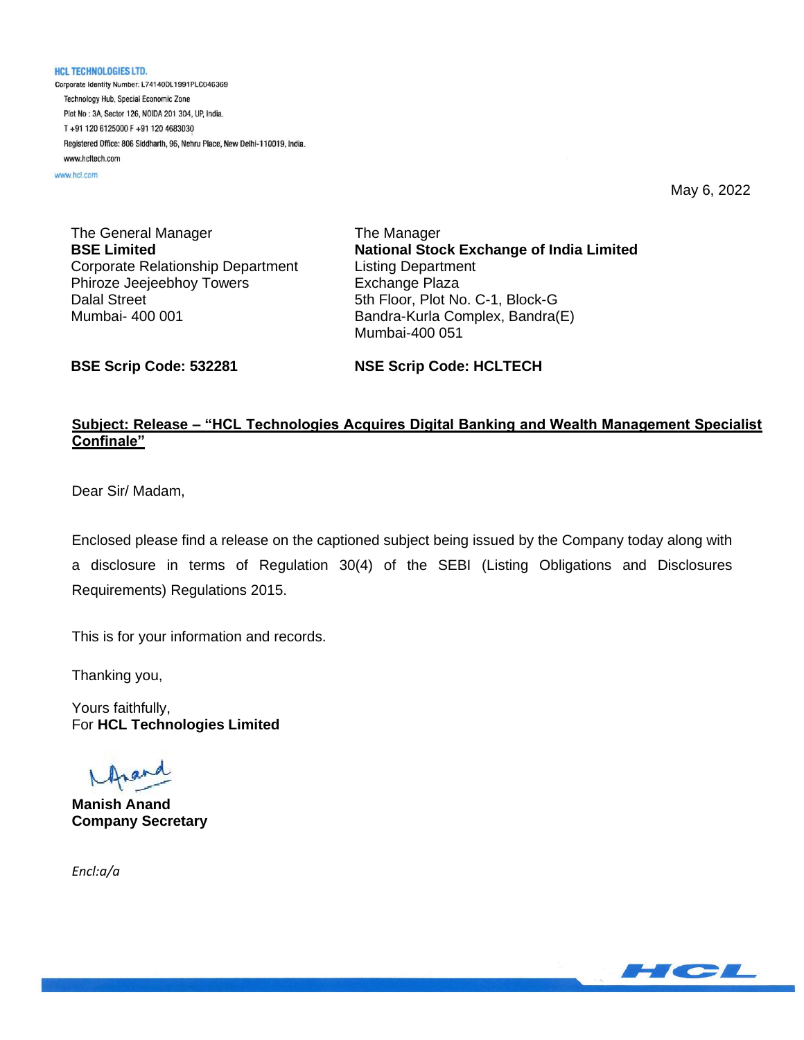**HCL TECHNOLOGIES LTD.** Corporate Identity Number: L74140DL1991PLC046369 Technology Hub, Special Economic Zone Plot No: 3A, Sector 126, NOIDA 201 304, UP, India. T+91 120 6125000 F+91 120 4683030 Registered Office: 806 Siddharth, 96, Nehru Place, New Delhi-110019, India. www.hcltech.com

www.hcl.com

May 6, 2022

The General Manager **BSE Limited** Corporate Relationship Department Phiroze Jeejeebhoy Towers Dalal Street Mumbai- 400 001

The Manager **National Stock Exchange of India Limited** Listing Department Exchange Plaza 5th Floor, Plot No. C-1, Block-G Bandra-Kurla Complex, Bandra(E) Mumbai-400 051

**BSE Scrip Code: 532281**

**NSE Scrip Code: HCLTECH**

### **Subject: Release – "HCL Technologies Acquires Digital Banking and Wealth Management Specialist Confinale"**

Dear Sir/ Madam,

Enclosed please find a release on the captioned subject being issued by the Company today along with a disclosure in terms of Regulation 30(4) of the SEBI (Listing Obligations and Disclosures Requirements) Regulations 2015.

This is for your information and records.

Thanking you,

Yours faithfully, For **HCL Technologies Limited**

**Manish Anand Company Secretary**

*Encl:a/a*

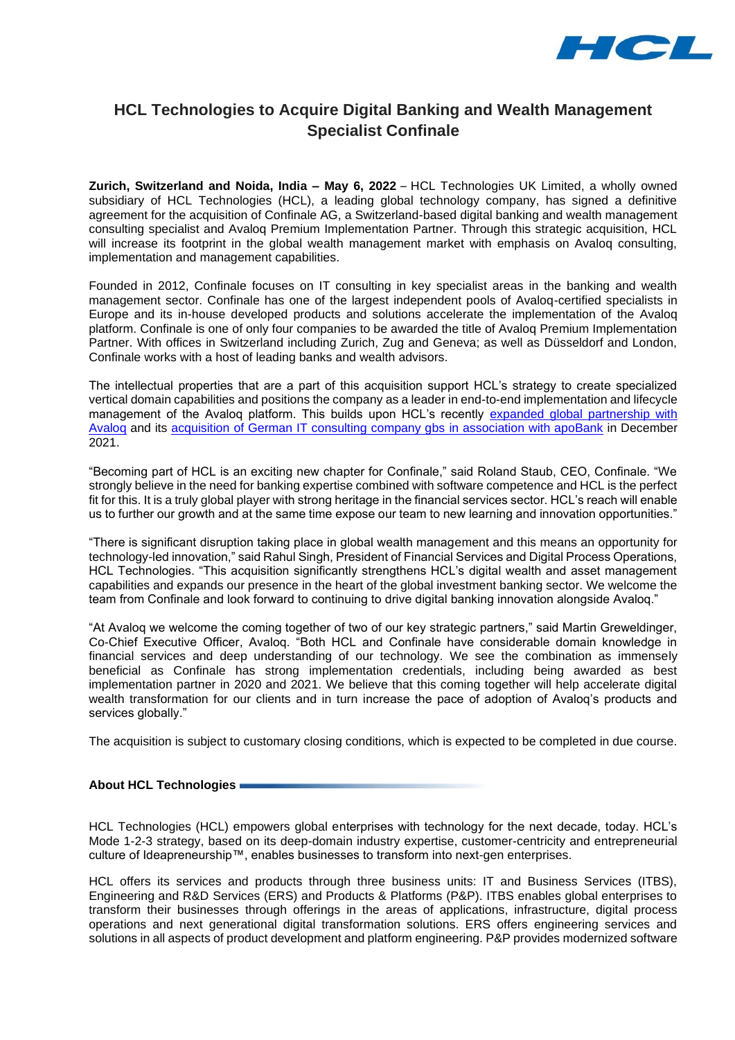

## **HCL Technologies to Acquire Digital Banking and Wealth Management Specialist Confinale**

**Zurich, Switzerland and Noida, India – May 6, 2022** – HCL Technologies UK Limited, a wholly owned subsidiary of HCL Technologies (HCL), a leading global technology company, has signed a definitive agreement for the acquisition of Confinale AG, a Switzerland-based digital banking and wealth management consulting specialist and Avaloq Premium Implementation Partner. Through this strategic acquisition, HCL will increase its footprint in the global wealth management market with emphasis on Avalog consulting, implementation and management capabilities.

Founded in 2012, Confinale focuses on IT consulting in key specialist areas in the banking and wealth management sector. Confinale has one of the largest independent pools of Avaloq-certified specialists in Europe and its in-house developed products and solutions accelerate the implementation of the Avaloq platform. Confinale is one of only four companies to be awarded the title of Avaloq Premium Implementation Partner. With offices in Switzerland including Zurich, Zug and Geneva; as well as Düsseldorf and London, Confinale works with a host of leading banks and wealth advisors.

The intellectual properties that are a part of this acquisition support HCL's strategy to create specialized vertical domain capabilities and positions the company as a leader in end-to-end implementation and lifecycle management of the Avaloq platform. This builds upon HCL's recently [expanded global partnership with](https://apc01.safelinks.protection.outlook.com/?url=https%3A%2F%2Fwww.hcltech.com%2Fpress-releases%2Fpress-releases-business%2Fhcl-technologies-expands-global-partnership-avaloq&data=05%7C01%7Ckanika.vats%40hcl.com%7C7a0a1cb80802414fd67108da2f7a19a8%7C189de737c93a4f5a8b686f4ca9941912%7C0%7C0%7C637874498704695233%7CUnknown%7CTWFpbGZsb3d8eyJWIjoiMC4wLjAwMDAiLCJQIjoiV2luMzIiLCJBTiI6Ik1haWwiLCJXVCI6Mn0%3D%7C3000%7C%7C%7C&sdata=hzKUzeOzuFQ2cYWpuI5g0yIFLQFsDYvkkuIPkQjR3sw%3D&reserved=0)  Avalog and its [acquisition of German IT consulting company gbs](https://apc01.safelinks.protection.outlook.com/?url=https%3A%2F%2Fwww.hcltech.com%2Fpress-releases%2Fpress-releases-business%2Fhcl-technologies-and-apobank-come-together-acquire-german-it&data=05%7C01%7Ckanika.vats%40hcl.com%7C7a0a1cb80802414fd67108da2f7a19a8%7C189de737c93a4f5a8b686f4ca9941912%7C0%7C0%7C637874498704695233%7CUnknown%7CTWFpbGZsb3d8eyJWIjoiMC4wLjAwMDAiLCJQIjoiV2luMzIiLCJBTiI6Ik1haWwiLCJXVCI6Mn0%3D%7C3000%7C%7C%7C&sdata=dszxuqRn5YgZOXfck2gqnGFQv6ulJVv3q%2BL8vA%2FwviY%3D&reserved=0) in association with apoBank in December 2021.

"Becoming part of HCL is an exciting new chapter for Confinale," said Roland Staub, CEO, Confinale. "We strongly believe in the need for banking expertise combined with software competence and HCL is the perfect fit for this. It is a truly global player with strong heritage in the financial services sector. HCL's reach will enable us to further our growth and at the same time expose our team to new learning and innovation opportunities."

"There is significant disruption taking place in global wealth management and this means an opportunity for technology-led innovation," said Rahul Singh, President of Financial Services and Digital Process Operations, HCL Technologies. "This acquisition significantly strengthens HCL's digital wealth and asset management capabilities and expands our presence in the heart of the global investment banking sector. We welcome the team from Confinale and look forward to continuing to drive digital banking innovation alongside Avaloq."

"At Avaloq we welcome the coming together of two of our key strategic partners," said Martin Greweldinger, Co-Chief Executive Officer, Avaloq. "Both HCL and Confinale have considerable domain knowledge in financial services and deep understanding of our technology. We see the combination as immensely beneficial as Confinale has strong implementation credentials, including being awarded as best implementation partner in 2020 and 2021. We believe that this coming together will help accelerate digital wealth transformation for our clients and in turn increase the pace of adoption of Avaloq's products and services globally."

The acquisition is subject to customary closing conditions, which is expected to be completed in due course.

#### **About HCL Technologies**

HCL Technologies (HCL) empowers global enterprises with technology for the next decade, today. HCL's Mode 1-2-3 strategy, based on its deep-domain industry expertise, customer-centricity and entrepreneurial culture of Ideapreneurship™, enables businesses to transform into next-gen enterprises.

HCL offers its services and products through three business units: IT and Business Services (ITBS), Engineering and R&D Services (ERS) and Products & Platforms (P&P). ITBS enables global enterprises to transform their businesses through offerings in the areas of applications, infrastructure, digital process operations and next generational digital transformation solutions. ERS offers engineering services and solutions in all aspects of product development and platform engineering. P&P provides modernized software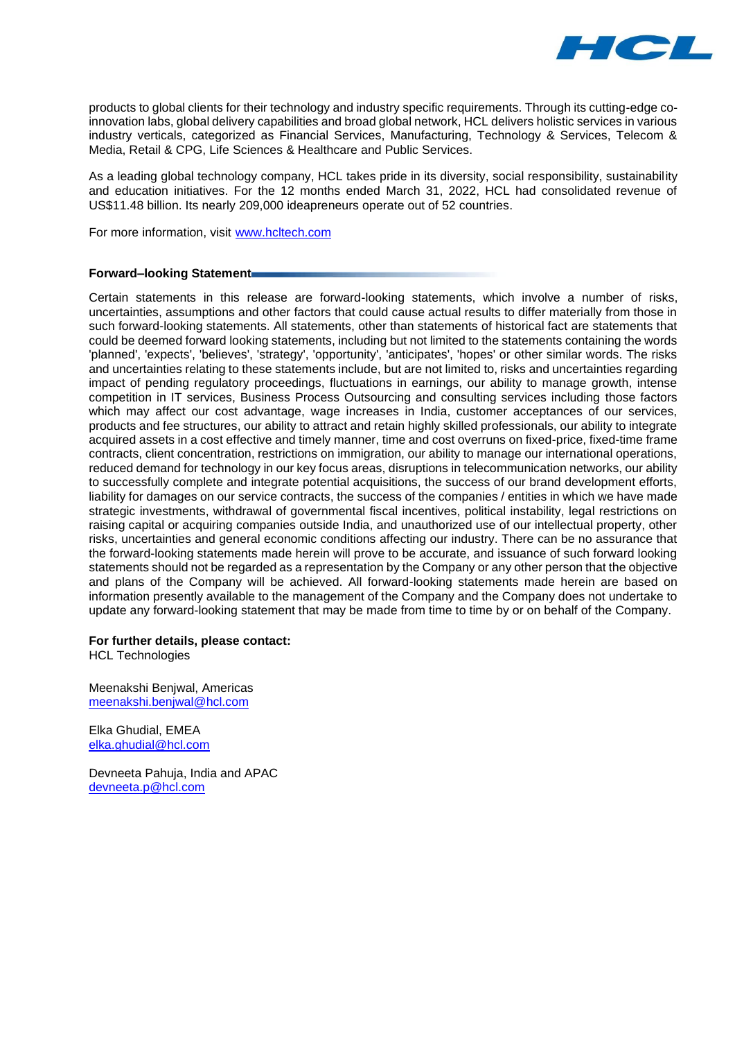

products to global clients for their technology and industry specific requirements. Through its cutting-edge coinnovation labs, global delivery capabilities and broad global network, HCL delivers holistic services in various industry verticals, categorized as Financial Services, Manufacturing, Technology & Services, Telecom & Media, Retail & CPG, Life Sciences & Healthcare and Public Services.

As a leading global technology company, HCL takes pride in its diversity, social responsibility, sustainability and education initiatives. For the 12 months ended March 31, 2022, HCL had consolidated revenue of US\$11.48 billion. Its nearly 209,000 ideapreneurs operate out of 52 countries.

For more information, visit [www.hcltech.com](http://www.hcltech.com/)

#### **Forward–looking Statement**

Certain statements in this release are forward-looking statements, which involve a number of risks, uncertainties, assumptions and other factors that could cause actual results to differ materially from those in such forward-looking statements. All statements, other than statements of historical fact are statements that could be deemed forward looking statements, including but not limited to the statements containing the words 'planned', 'expects', 'believes', 'strategy', 'opportunity', 'anticipates', 'hopes' or other similar words. The risks and uncertainties relating to these statements include, but are not limited to, risks and uncertainties regarding impact of pending regulatory proceedings, fluctuations in earnings, our ability to manage growth, intense competition in IT services, Business Process Outsourcing and consulting services including those factors which may affect our cost advantage, wage increases in India, customer acceptances of our services, products and fee structures, our ability to attract and retain highly skilled professionals, our ability to integrate acquired assets in a cost effective and timely manner, time and cost overruns on fixed-price, fixed-time frame contracts, client concentration, restrictions on immigration, our ability to manage our international operations, reduced demand for technology in our key focus areas, disruptions in telecommunication networks, our ability to successfully complete and integrate potential acquisitions, the success of our brand development efforts, liability for damages on our service contracts, the success of the companies / entities in which we have made strategic investments, withdrawal of governmental fiscal incentives, political instability, legal restrictions on raising capital or acquiring companies outside India, and unauthorized use of our intellectual property, other risks, uncertainties and general economic conditions affecting our industry. There can be no assurance that the forward-looking statements made herein will prove to be accurate, and issuance of such forward looking statements should not be regarded as a representation by the Company or any other person that the objective and plans of the Company will be achieved. All forward-looking statements made herein are based on information presently available to the management of the Company and the Company does not undertake to update any forward-looking statement that may be made from time to time by or on behalf of the Company.

#### **For further details, please contact:**

HCL Technologies

Meenakshi Benjwal, Americas [meenakshi.benjwal@hcl.com](mailto:meenakshi.benjwal@hcl.com) 

Elka Ghudial, EMEA [elka.ghudial@hcl.com](mailto:elka.ghudial@hcl.com)

Devneeta Pahuja, India and APAC [devneeta.p@hcl.com](mailto:devneeta.p@hcl.com)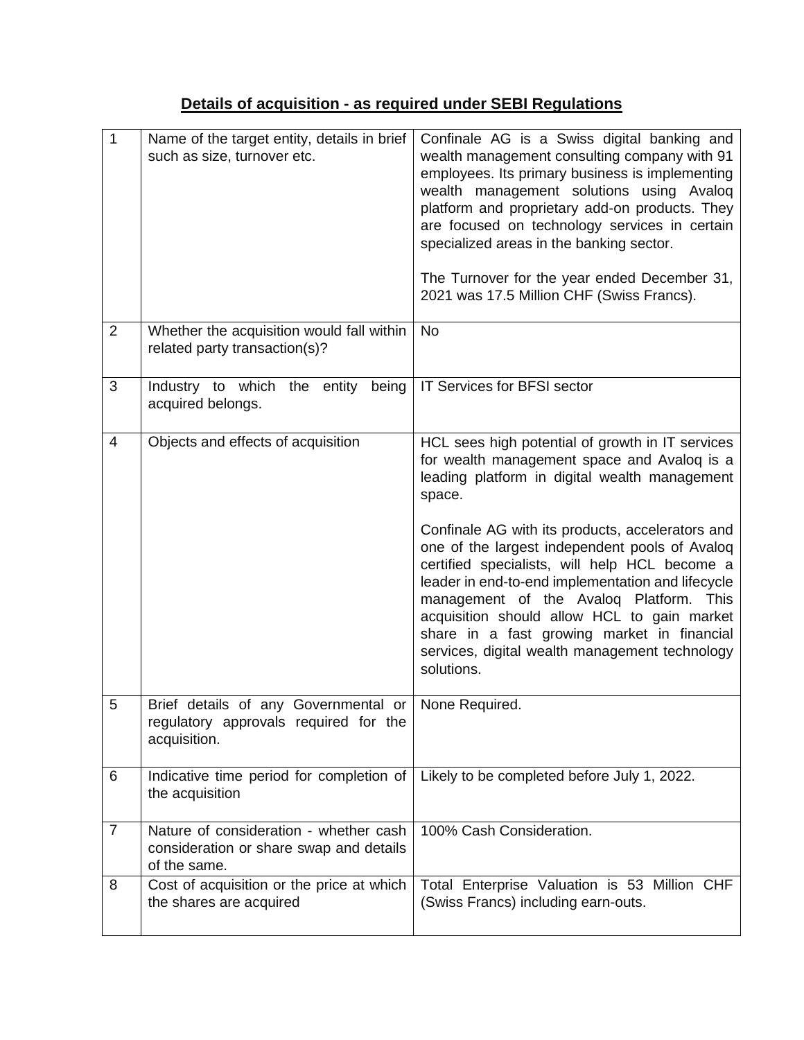# **Details of acquisition - as required under SEBI Regulations**

| $\mathbf{1}$   | Name of the target entity, details in brief<br>such as size, turnover etc.                                     | Confinale AG is a Swiss digital banking and<br>wealth management consulting company with 91<br>employees. Its primary business is implementing<br>wealth management solutions using Avaloq<br>platform and proprietary add-on products. They<br>are focused on technology services in certain<br>specialized areas in the banking sector.<br>The Turnover for the year ended December 31,<br>2021 was 17.5 Million CHF (Swiss Francs).                                                                                                                                             |
|----------------|----------------------------------------------------------------------------------------------------------------|------------------------------------------------------------------------------------------------------------------------------------------------------------------------------------------------------------------------------------------------------------------------------------------------------------------------------------------------------------------------------------------------------------------------------------------------------------------------------------------------------------------------------------------------------------------------------------|
| $\overline{2}$ | Whether the acquisition would fall within<br>related party transaction(s)?                                     | <b>No</b>                                                                                                                                                                                                                                                                                                                                                                                                                                                                                                                                                                          |
| 3              | Industry to which the entity<br>being<br>acquired belongs.                                                     | IT Services for BFSI sector                                                                                                                                                                                                                                                                                                                                                                                                                                                                                                                                                        |
| 4              | Objects and effects of acquisition                                                                             | HCL sees high potential of growth in IT services<br>for wealth management space and Avaloq is a<br>leading platform in digital wealth management<br>space.<br>Confinale AG with its products, accelerators and<br>one of the largest independent pools of Avaloq<br>certified specialists, will help HCL become a<br>leader in end-to-end implementation and lifecycle<br>management of the Avaloq Platform.<br>This<br>acquisition should allow HCL to gain market<br>share in a fast growing market in financial<br>services, digital wealth management technology<br>solutions. |
| 5              | Brief details of any Governmental or   None Required.<br>regulatory approvals required for the<br>acquisition. |                                                                                                                                                                                                                                                                                                                                                                                                                                                                                                                                                                                    |
| 6              | Indicative time period for completion of<br>the acquisition                                                    | Likely to be completed before July 1, 2022.                                                                                                                                                                                                                                                                                                                                                                                                                                                                                                                                        |
| $\overline{7}$ | Nature of consideration - whether cash<br>consideration or share swap and details<br>of the same.              | 100% Cash Consideration.                                                                                                                                                                                                                                                                                                                                                                                                                                                                                                                                                           |
| 8              | Cost of acquisition or the price at which<br>the shares are acquired                                           | Total Enterprise Valuation is 53 Million CHF<br>(Swiss Francs) including earn-outs.                                                                                                                                                                                                                                                                                                                                                                                                                                                                                                |